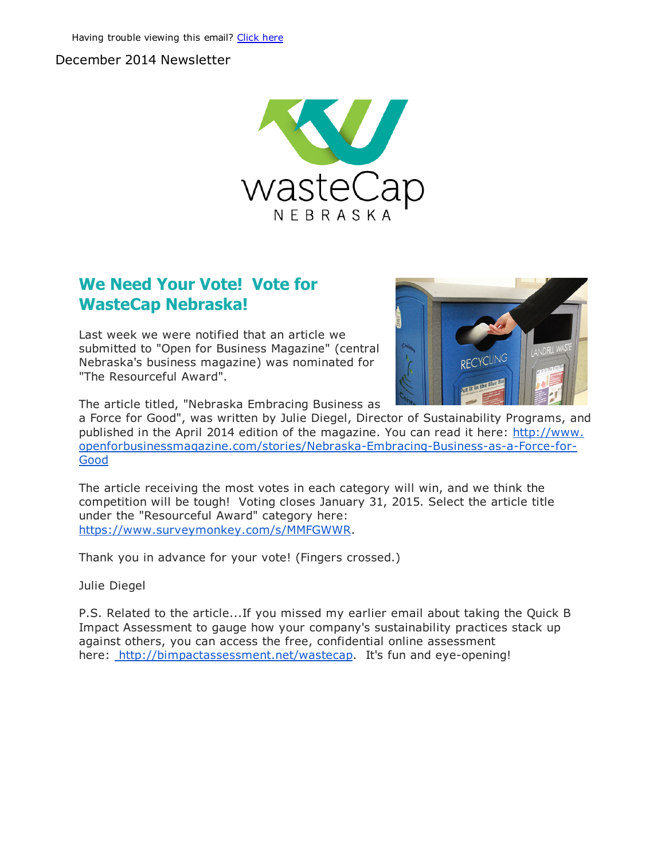#### December 2014 Newsletter



### We Need Your Vote! Vote for WasteCap Nebraska!

Last week we were notified that an article we submitted to "Open for Business Magazine" (central Nebraska's business magazine) was nominated for "The Resourceful Award".



The article titled, "Nebraska Embracing Business as

a Force for Good", was written by Julie Diegel, Director of Sustainability Programs, and published in the April 2014 edition of the magazine. You can read it here: http://www. openforbusinessmagazine.com/stories/Nebraska-Embracing-Business-as-a-Force-for-**Good** 

The article receiving the most votes in each category will win, and we think the competition will be tough! Voting closes January 31, 2015. Select the article title under the "Resourceful Award" category here: [https://www.surveymonkey.com/s/MMFGWWR.](http://r20.rs6.net/tn.jsp?e=001bbgiVqujStw758Q24MVJCPiK1FE18n2i0_SN2z3Hsooa079y1VBJIS9vd_ZOGGLX2Ds7upTnqFWfCwwJ__Uo30XU_37jCeW6hW5tDIpk3HM0OEzEp-orlS1sJaBDx6iE)

Thank you in advance for your vote! (Fingers crossed.)

Julie Diegel

P.S. Related to the article...If you missed my earlier email about taking the Quick B Impact Assessment to gauge how your company's sustainability practices stack up against others, you can access the free, confidential online assessment here: [http://bimpactassessment.net/wastecap.](http://r20.rs6.net/tn.jsp?e=001bbgiVqujStw758Q24MVJCPiK1FE18n2i0_SN2z3Hsooa079y1VBJIS9vd_ZOGGLX6-GafpVjEAnBJOGSCYk9RTP5MX2hAh073BLDnU3yi-gtXvxZMllSwIK5obeDEgcO) It's fun and eye-opening!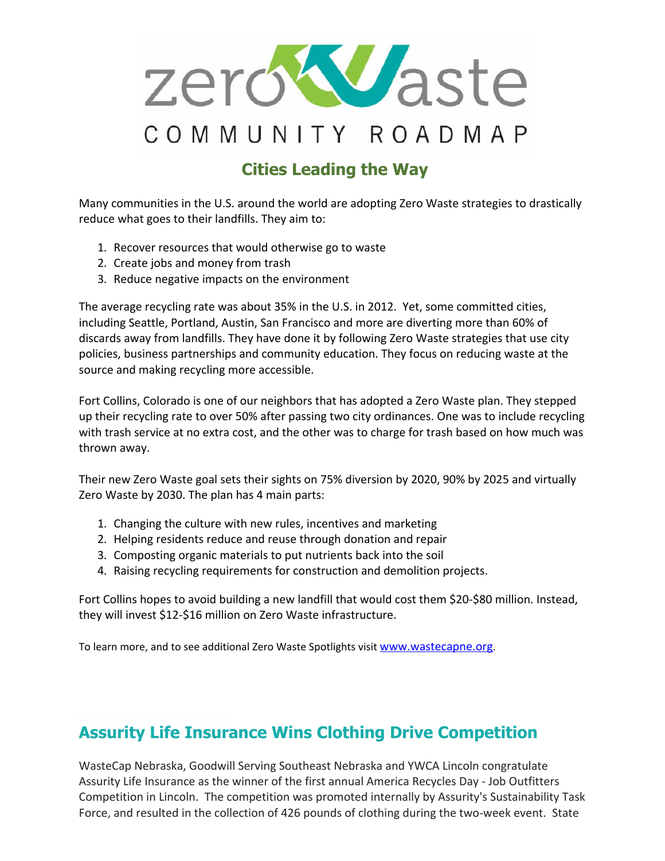

# Cities Leading the Way

Many communities in the U.S. around the world are adopting Zero Waste strategies to drastically reduce what goes to their landfills. They aim to:

- 1. Recover resources that would otherwise go to waste
- 2. Create jobs and money from trash
- 3. Reduce negative impacts on the environment

The average recycling rate was about 35% in the U.S. in 2012. Yet, some committed cities, including Seattle, Portland, Austin, San Francisco and more are diverting more than 60% of discards away from landfills. They have done it by following Zero Waste strategies that use city policies, business partnerships and community education. They focus on reducing waste at the source and making recycling more accessible.

Fort Collins, Colorado is one of our neighbors that has adopted a Zero Waste plan. They stepped up their recycling rate to over 50% after passing two city ordinances. One was to include recycling with trash service at no extra cost, and the other was to charge for trash based on how much was thrown away.

Their new Zero Waste goal sets their sights on 75% diversion by 2020, 90% by 2025 and virtually Zero Waste by 2030. The plan has 4 main parts:

- 1. Changing the culture with new rules, incentives and marketing
- 2. Helping residents reduce and reuse through donation and repair
- 3. Composting organic materials to put nutrients back into the soil
- 4. Raising recycling requirements for construction and demolition projects.

Fort Collins hopes to avoid building a new landfill that would cost them \$20‐\$80 million. Instead, they will invest \$12-\$16 million on Zero Waste infrastructure.

To learn more, and to see additional Zero Waste Spotlights visit [www.wastecapne.org](http://r20.rs6.net/tn.jsp?e=001bbgiVqujStw758Q24MVJCPiK1FE18n2i0_SN2z3Hsooa079y1VBJIS9vd_ZOGGLX6-GafpVjEAngZTA22zVdJhN_9x702l-lG5RsVy4AA_U=).

# Assurity Life Insurance Wins Clothing Drive Competition

WasteCap Nebraska, Goodwill Serving Southeast Nebraska and YWCA Lincoln congratulate Assurity Life Insurance as the winner of the first annual America Recycles Day ‐ Job Outfitters Competition in Lincoln. The competition was promoted internally by Assurity's Sustainability Task Force, and resulted in the collection of 426 pounds of clothing during the two-week event. State